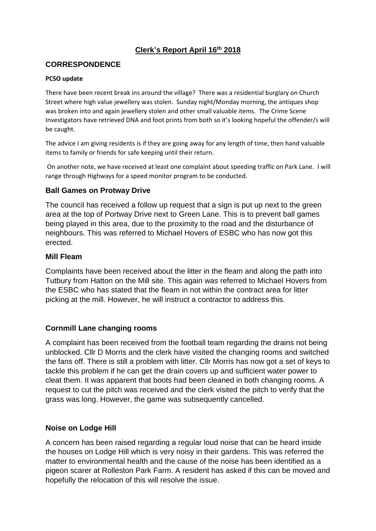## **Clerk's Report April 16th 2018**

#### **CORRESPONDENCE**

#### **PCSO update**

There have been recent break ins around the village? There was a residential burglary on Church Street where high value jewellery was stolen. Sunday night/Monday morning, the antiques shop was broken into and again jewellery stolen and other small valuable items. The Crime Scene Investigators have retrieved DNA and foot prints from both so it's looking hopeful the offender/s will be caught.

The advice I am giving residents is if they are going away for any length of time, then hand valuable items to family or friends for safe keeping until their return.

On another note, we have received at least one complaint about speeding traffic on Park Lane. I will range through Highways for a speed monitor program to be conducted.

#### **Ball Games on Protway Drive**

The council has received a follow up request that a sign is put up next to the green area at the top of Portway Drive next to Green Lane. This is to prevent ball games being played in this area, due to the proximity to the road and the disturbance of neighbours. This was referred to Michael Hovers of ESBC who has now got this erected.

#### **Mill Fleam**

Complaints have been received about the litter in the fleam and along the path into Tutbury from Hatton on the Mill site. This again was referred to Michael Hovers from the ESBC who has stated that the fleam in not within the contract area for litter picking at the mill. However, he will instruct a contractor to address this.

## **Cornmill Lane changing rooms**

A complaint has been received from the football team regarding the drains not being unblocked. Cllr D Morris and the clerk have visited the changing rooms and switched the fans off. There is still a problem with litter. Cllr Morris has now got a set of keys to tackle this problem if he can get the drain covers up and sufficient water power to cleat them. It was apparent that boots had been cleaned in both changing rooms. A request to cut the pitch was received and the clerk visited the pitch to verify that the grass was long. However, the game was subsequently cancelled.

#### **Noise on Lodge Hill**

A concern has been raised regarding a regular loud noise that can be heard inside the houses on Lodge Hill which is very noisy in their gardens. This was referred the matter to environmental health and the cause of the noise has been identified as a pigeon scarer at Rolleston Park Farm. A resident has asked if this can be moved and hopefully the relocation of this will resolve the issue.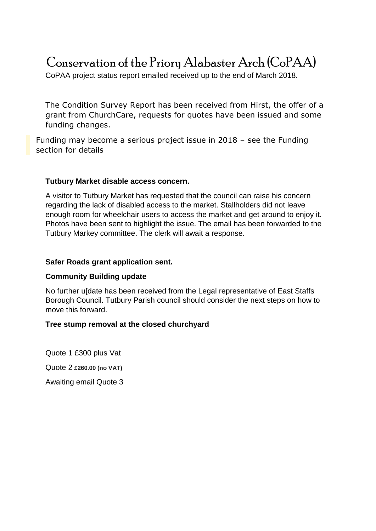# Conservation of the Priory Alabaster Arch (CoPAA)

CoPAA project status report emailed received up to the end of March 2018.

The Condition Survey Report has been received from Hirst, the offer of a grant from ChurchCare, requests for quotes have been issued and some funding changes.

Funding may become a serious project issue in 2018 – see the Funding section for details

#### **Tutbury Market disable access concern.**

A visitor to Tutbury Market has requested that the council can raise his concern regarding the lack of disabled access to the market. Stallholders did not leave enough room for wheelchair users to access the market and get around to enjoy it. Photos have been sent to highlight the issue. The email has been forwarded to the Tutbury Markey committee. The clerk will await a response.

#### **Safer Roads grant application sent.**

## **Community Building update**

No further u[date has been received from the Legal representative of East Staffs Borough Council. Tutbury Parish council should consider the next steps on how to move this forward.

## **Tree stump removal at the closed churchyard**

Quote 1 £300 plus Vat Quote 2 **£260.00 (no VAT)** Awaiting email Quote 3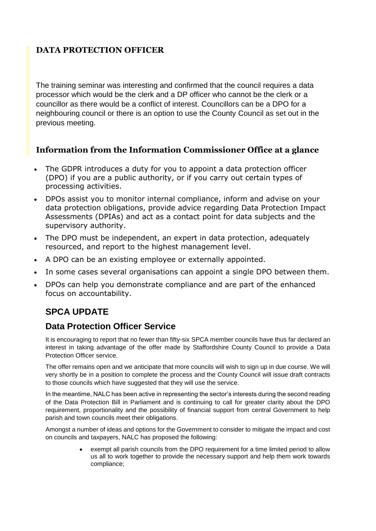# **DATA PROTECTION OFFICER**

The training seminar was interesting and confirmed that the council requires a data processor which would be the clerk and a DP officer who cannot be the clerk or a councillor as there would be a conflict of interest. Councillors can be a DPO for a neighbouring council or there is an option to use the County Council as set out in the previous meeting.

## **Information from the Information Commissioner Office at a glance**

- The GDPR introduces a duty for you to appoint a data protection officer (DPO) if you are a public authority, or if you carry out certain types of processing activities.
- DPOs assist you to monitor internal compliance, inform and advise on your data protection obligations, provide advice regarding Data Protection Impact Assessments (DPIAs) and act as a contact point for data subjects and the supervisory authority.
- The DPO must be independent, an expert in data protection, adequately resourced, and report to the highest management level.
- A DPO can be an existing employee or externally appointed.
- In some cases several organisations can appoint a single DPO between them.
- DPOs can help you demonstrate compliance and are part of the enhanced focus on accountability.

# **SPCA UPDATE**

# **Data Protection Officer Service**

It is encouraging to report that no fewer than fifty-six SPCA member councils have thus far declared an interest in taking advantage of the offer made by Staffordshire County Council to provide a Data Protection Officer service.

The offer remains open and we anticipate that more councils will wish to sign up in due course. We will very shortly be in a position to complete the process and the County Council will issue draft contracts to those councils which have suggested that they will use the service.

In the meantime, NALC has been active in representing the sector's interests during the second reading of the Data Protection Bill in Parliament and is continuing to call for greater clarity about the DPO requirement, proportionality and the possibility of financial support from central Government to help parish and town councils meet their obligations.

Amongst a number of ideas and options for the Government to consider to mitigate the impact and cost on councils and taxpayers, NALC has proposed the following:

> exempt all parish councils from the DPO requirement for a time limited period to allow us all to work together to provide the necessary support and help them work towards compliance;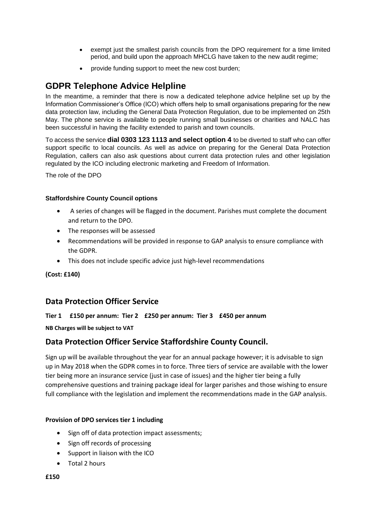- exempt just the smallest parish councils from the DPO requirement for a time limited period, and build upon the approach MHCLG have taken to the new audit regime;
- provide funding support to meet the new cost burden;

## **GDPR Telephone Advice Helpline**

In the meantime, a reminder that there is now a dedicated telephone advice helpline set up by the Information Commissioner's Office (ICO) which offers help to small organisations preparing for the new data protection law, including the General Data Protection Regulation, due to be implemented on 25th May. The phone service is available to people running small businesses or charities and NALC has been successful in having the facility extended to parish and town councils.

To access the service **dial 0303 123 1113 and select option 4** to be diverted to staff who can offer support specific to local councils. As well as advice on preparing for the General Data Protection Regulation, callers can also ask questions about current data protection rules and other legislation regulated by the ICO including electronic marketing and Freedom of Information.

The role of the DPO

#### **Staffordshire County Council options**

- A series of changes will be flagged in the document. Parishes must complete the document and return to the DPO.
- The responses will be assessed
- Recommendations will be provided in response to GAP analysis to ensure compliance with the GDPR.
- This does not include specific advice just high-level recommendations

**(Cost: £140)**

## **Data Protection Officer Service**

#### **Tier 1 £150 per annum: Tier 2 £250 per annum: Tier 3 £450 per annum**

**NB Charges will be subject to VAT**

## **Data Protection Officer Service Staffordshire County Council.**

Sign up will be available throughout the year for an annual package however; it is advisable to sign up in May 2018 when the GDPR comes in to force. Three tiers of service are available with the lower tier being more an insurance service (just in case of issues) and the higher tier being a fully comprehensive questions and training package ideal for larger parishes and those wishing to ensure full compliance with the legislation and implement the recommendations made in the GAP analysis.

#### **Provision of DPO services tier 1 including**

- Sign off of data protection impact assessments;
- Sign off records of processing
- Support in liaison with the ICO
- Total 2 hours

#### **£150**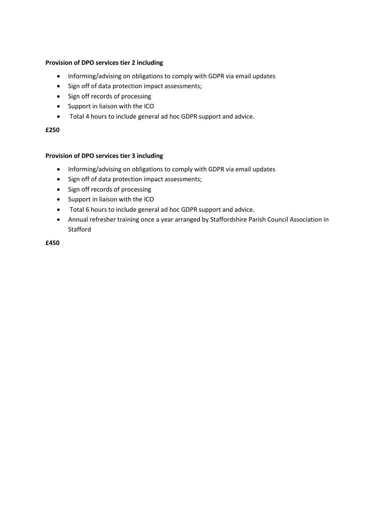#### **Provision of DPO services tier 2 including**

- Informing/advising on obligations to comply with GDPR via email updates
- Sign off of data protection impact assessments;
- Sign off records of processing
- Support in liaison with the ICO
- Total 4 hours to include general ad hoc GDPR support and advice.

#### **£250**

#### **Provision of DPO services tier 3 including**

- Informing/advising on obligations to comply with GDPR via email updates
- Sign off of data protection impact assessments;
- Sign off records of processing
- Support in liaison with the ICO
- Total 6 hours to include general ad hoc GDPR support and advice.
- Annual refresher training once a year arranged by Staffordshire Parish Council Association in **Stafford**

**£450**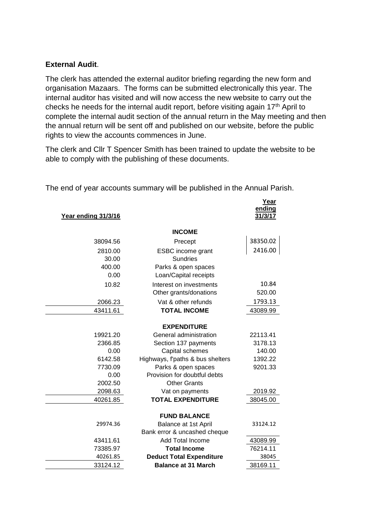#### **External Audit**.

The clerk has attended the external auditor briefing regarding the new form and organisation Mazaars. The forms can be submitted electronically this year. The internal auditor has visited and will now access the new website to carry out the checks he needs for the internal audit report, before visiting again 17th April to complete the internal audit section of the annual return in the May meeting and then the annual return will be sent off and published on our website, before the public rights to view the accounts commences in June.

The clerk and Cllr T Spencer Smith has been trained to update the website to be able to comply with the publishing of these documents.

| Year ending 31/3/16 |                                  | Year<br>ending<br>31/3/17 |
|---------------------|----------------------------------|---------------------------|
|                     | <b>INCOME</b>                    |                           |
| 38094.56            | Precept                          | 38350.02                  |
| 2810.00             | <b>ESBC</b> income grant         | 2416.00                   |
| 30.00               | <b>Sundries</b>                  |                           |
| 400.00              | Parks & open spaces              |                           |
| 0.00                | Loan/Capital receipts            |                           |
| 10.82               | Interest on investments          | 10.84                     |
|                     | Other grants/donations           | 520.00                    |
| 2066.23             | Vat & other refunds              | 1793.13                   |
| 43411.61            | <b>TOTAL INCOME</b>              | 43089.99                  |
|                     | <b>EXPENDITURE</b>               |                           |
| 19921.20            | General administration           | 22113.41                  |
| 2366.85             | Section 137 payments             | 3178.13                   |
| 0.00                | Capital schemes                  | 140.00                    |
| 6142.58             | Highways, f'paths & bus shelters | 1392.22                   |
| 7730.09             | Parks & open spaces              | 9201.33                   |
| 0.00                | Provision for doubtful debts     |                           |
| 2002.50             | <b>Other Grants</b>              |                           |
| 2098.63             | Vat on payments                  | 2019.92                   |
| 40261.85            | <b>TOTAL EXPENDITURE</b>         | 38045.00                  |
|                     | <b>FUND BALANCE</b>              |                           |
| 29974.36            | Balance at 1st April             | 33124.12                  |
|                     | Bank error & uncashed cheque     |                           |
| 43411.61            | <b>Add Total Income</b>          | 43089.99                  |
| 73385.97            | <b>Total Income</b>              | 76214.11                  |
| 40261.85            | <b>Deduct Total Expenditure</b>  | 38045                     |
| 33124.12            | <b>Balance at 31 March</b>       | 38169.11                  |

The end of year accounts summary will be published in the Annual Parish.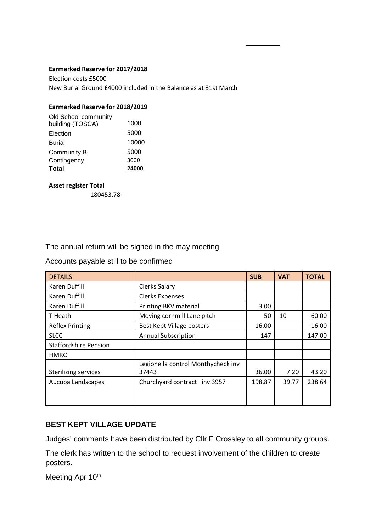#### **Earmarked Reserve for 2017/2018**

Election costs £5000 New Burial Ground £4000 included in the Balance as at 31st March

#### **Earmarked Reserve for 2018/2019**

| Total                | 24000 |
|----------------------|-------|
| Contingency          | 3000  |
| Community B          | 5000  |
| <b>Burial</b>        | 10000 |
| Election             | 5000  |
| building (TOSCA)     | 1000  |
| Old School community |       |

#### **Asset register Total**

180453.78

The annual return will be signed in the may meeting.

Accounts payable still to be confirmed

| <b>DETAILS</b>               |                                    | <b>SUB</b> | <b>VAT</b> | <b>TOTAL</b> |
|------------------------------|------------------------------------|------------|------------|--------------|
| Karen Duffill                | <b>Clerks Salary</b>               |            |            |              |
| Karen Duffill                | <b>Clerks Expenses</b>             |            |            |              |
| Karen Duffill                | Printing BKV material              | 3.00       |            |              |
| T Heath                      | Moving cornmill Lane pitch         | 50         | 10         | 60.00        |
| <b>Reflex Printing</b>       | Best Kept Village posters          | 16.00      |            | 16.00        |
| <b>SLCC</b>                  | <b>Annual Subscription</b>         | 147        |            | 147.00       |
| <b>Staffordshire Pension</b> |                                    |            |            |              |
| <b>HMRC</b>                  |                                    |            |            |              |
|                              | Legionella control Monthycheck inv |            |            |              |
| <b>Sterilizing services</b>  | 37443                              | 36.00      | 7.20       | 43.20        |
| Aucuba Landscapes            | Churchyard contract inv 3957       | 198.87     | 39.77      | 238.64       |
|                              |                                    |            |            |              |
|                              |                                    |            |            |              |

## **BEST KEPT VILLAGE UPDATE**

Judges' comments have been distributed by Cllr F Crossley to all community groups.

The clerk has written to the school to request involvement of the children to create posters.

Meeting Apr 10th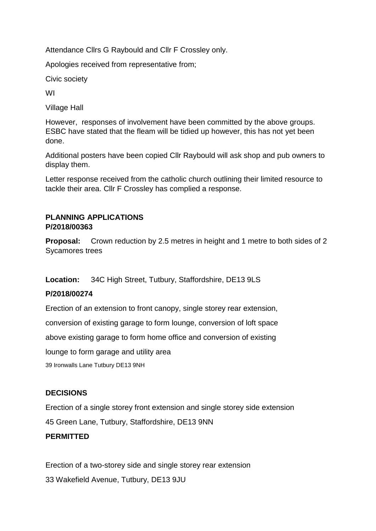Attendance Cllrs G Raybould and Cllr F Crossley only.

Apologies received from representative from;

Civic society

WI

Village Hall

However, responses of involvement have been committed by the above groups. ESBC have stated that the fleam will be tidied up however, this has not yet been done.

Additional posters have been copied Cllr Raybould will ask shop and pub owners to display them.

Letter response received from the catholic church outlining their limited resource to tackle their area. Cllr F Crossley has complied a response.

#### **PLANNING APPLICATIONS P/2018/00363**

**Proposal:** Crown reduction by 2.5 metres in height and 1 metre to both sides of 2 Sycamores trees

**Location:** 34C High Street, Tutbury, Staffordshire, DE13 9LS

## **P/2018/00274**

Erection of an extension to front canopy, single storey rear extension,

conversion of existing garage to form lounge, conversion of loft space

above existing garage to form home office and conversion of existing

lounge to form garage and utility area

39 Ironwalls Lane Tutbury DE13 9NH

## **DECISIONS**

Erection of a single storey front extension and single storey side extension

45 Green Lane, Tutbury, Staffordshire, DE13 9NN

## **PERMITTED**

Erection of a two-storey side and single storey rear extension 33 Wakefield Avenue, Tutbury, DE13 9JU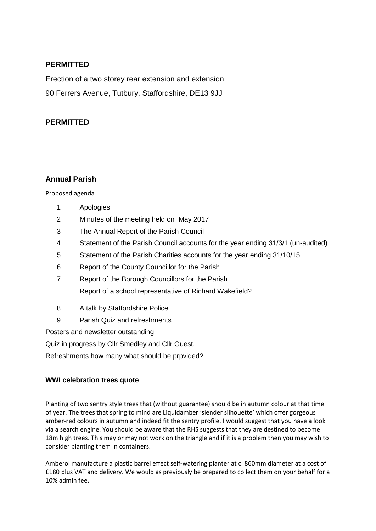#### **PERMITTED**

Erection of a two storey rear extension and extension 90 Ferrers Avenue, Tutbury, Staffordshire, DE13 9JJ

#### **PERMITTED**

#### **Annual Parish**

Proposed agenda

- 1 Apologies
- 2 Minutes of the meeting held on May 2017
- 3 The Annual Report of the Parish Council
- 4 Statement of the Parish Council accounts for the year ending 31/3/1 (un-audited)
- 5 Statement of the Parish Charities accounts for the year ending 31/10/15
- 6 Report of the County Councillor for the Parish
- 7 Report of the Borough Councillors for the Parish Report of a school representative of Richard Wakefield?
- 8 A talk by Staffordshire Police
- 9 Parish Quiz and refreshments

Posters and newsletter outstanding

Quiz in progress by Cllr Smedley and Cllr Guest.

Refreshments how many what should be prpvided?

#### **WWI celebration trees quote**

Planting of two sentry style trees that (without guarantee) should be in autumn colour at that time of year. The trees that spring to mind are Liquidamber 'slender silhouette' which offer gorgeous amber-red colours in autumn and indeed fit the sentry profile. I would suggest that you have a look via a search engine. You should be aware that the RHS suggests that they are destined to become 18m high trees. This may or may not work on the triangle and if it is a problem then you may wish to consider planting them in containers.

Amberol manufacture a plastic barrel effect self-watering planter at c. 860mm diameter at a cost of £180 plus VAT and delivery. We would as previously be prepared to collect them on your behalf for a 10% admin fee.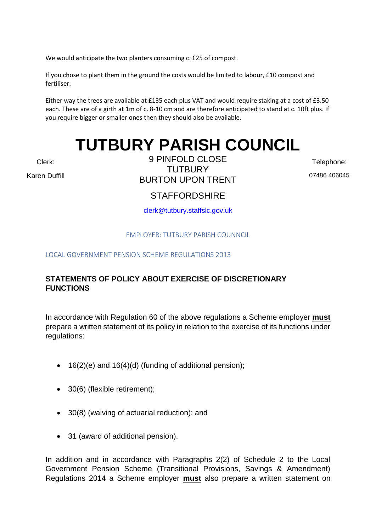We would anticipate the two planters consuming c. £25 of compost.

If you chose to plant them in the ground the costs would be limited to labour, £10 compost and fertiliser.

Either way the trees are available at £135 each plus VAT and would require staking at a cost of £3.50 each. These are of a girth at 1m of c. 8-10 cm and are therefore anticipated to stand at c. 10ft plus. If you require bigger or smaller ones then they should also be available.

# **TUTBURY PARISH COUNCIL**

Clerk:

Karen Duffill

9 PINFOLD CLOSE **TUTBURY** BURTON UPON TRENT

Telephone: 07486 406045

# **STAFFORDSHIRE**

[clerk@tutbury.staffslc.gov.uk](mailto:clerk@tutbury.staffslc.gov.uk)

#### EMPLOYER: TUTBURY PARISH COUNNCIL

LOCAL GOVERNMENT PENSION SCHEME REGULATIONS 2013

## **STATEMENTS OF POLICY ABOUT EXERCISE OF DISCRETIONARY FUNCTIONS**

In accordance with Regulation 60 of the above regulations a Scheme employer **must** prepare a written statement of its policy in relation to the exercise of its functions under regulations:

- 16(2)(e) and 16(4)(d) (funding of additional pension);
- 30(6) (flexible retirement);
- 30(8) (waiving of actuarial reduction); and
- 31 (award of additional pension).

In addition and in accordance with Paragraphs 2(2) of Schedule 2 to the Local Government Pension Scheme (Transitional Provisions, Savings & Amendment) Regulations 2014 a Scheme employer **must** also prepare a written statement on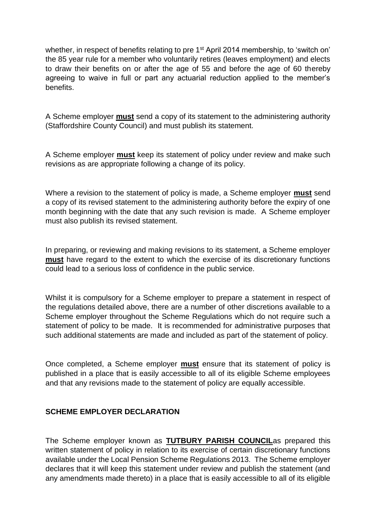whether, in respect of benefits relating to pre 1<sup>st</sup> April 2014 membership, to 'switch on' the 85 year rule for a member who voluntarily retires (leaves employment) and elects to draw their benefits on or after the age of 55 and before the age of 60 thereby agreeing to waive in full or part any actuarial reduction applied to the member's benefits.

A Scheme employer **must** send a copy of its statement to the administering authority (Staffordshire County Council) and must publish its statement.

A Scheme employer **must** keep its statement of policy under review and make such revisions as are appropriate following a change of its policy.

Where a revision to the statement of policy is made, a Scheme employer **must** send a copy of its revised statement to the administering authority before the expiry of one month beginning with the date that any such revision is made. A Scheme employer must also publish its revised statement.

In preparing, or reviewing and making revisions to its statement, a Scheme employer **must** have regard to the extent to which the exercise of its discretionary functions could lead to a serious loss of confidence in the public service.

Whilst it is compulsory for a Scheme employer to prepare a statement in respect of the regulations detailed above, there are a number of other discretions available to a Scheme employer throughout the Scheme Regulations which do not require such a statement of policy to be made. It is recommended for administrative purposes that such additional statements are made and included as part of the statement of policy.

Once completed, a Scheme employer **must** ensure that its statement of policy is published in a place that is easily accessible to all of its eligible Scheme employees and that any revisions made to the statement of policy are equally accessible.

#### **SCHEME EMPLOYER DECLARATION**

The Scheme employer known as **TUTBURY PARISH COUNCIL**as prepared this written statement of policy in relation to its exercise of certain discretionary functions available under the Local Pension Scheme Regulations 2013. The Scheme employer declares that it will keep this statement under review and publish the statement (and any amendments made thereto) in a place that is easily accessible to all of its eligible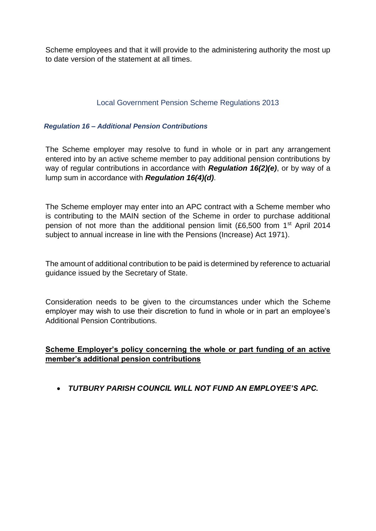Scheme employees and that it will provide to the administering authority the most up to date version of the statement at all times.

#### Local Government Pension Scheme Regulations 2013

#### *Regulation 16 – Additional Pension Contributions*

The Scheme employer may resolve to fund in whole or in part any arrangement entered into by an active scheme member to pay additional pension contributions by way of regular contributions in accordance with *Regulation 16(2)(e)*, or by way of a lump sum in accordance with *Regulation 16(4)(d)*.

The Scheme employer may enter into an APC contract with a Scheme member who is contributing to the MAIN section of the Scheme in order to purchase additional pension of not more than the additional pension limit (£6,500 from 1st April 2014 subject to annual increase in line with the Pensions (Increase) Act 1971).

The amount of additional contribution to be paid is determined by reference to actuarial guidance issued by the Secretary of State.

Consideration needs to be given to the circumstances under which the Scheme employer may wish to use their discretion to fund in whole or in part an employee's Additional Pension Contributions.

#### **Scheme Employer's policy concerning the whole or part funding of an active member's additional pension contributions**

• *TUTBURY PARISH COUNCIL WILL NOT FUND AN EMPLOYEE'S APC.*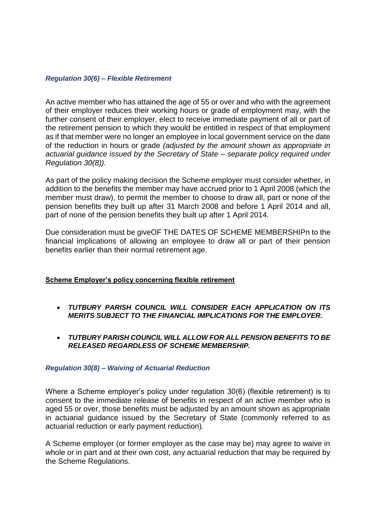#### *Regulation 30(6) – Flexible Retirement*

An active member who has attained the age of 55 or over and who with the agreement of their employer reduces their working hours or grade of employment may, with the further consent of their employer, elect to receive immediate payment of all or part of the retirement pension to which they would be entitled in respect of that employment as if that member were no longer an employee in local government service on the date of the reduction in hours or grade *(adjusted by the amount shown as appropriate in actuarial guidance issued by the Secretary of State – separate policy required under Regulation 30(8)).*

As part of the policy making decision the Scheme employer must consider whether, in addition to the benefits the member may have accrued prior to 1 April 2008 (which the member must draw), to permit the member to choose to draw all, part or none of the pension benefits they built up after 31 March 2008 and before 1 April 2014 and all, part of none of the pension benefits they built up after 1 April 2014.

Due consideration must be giveOF THE DATES OF SCHEME MEMBERSHIPn to the financial implications of allowing an employee to draw all or part of their pension benefits earlier than their normal retirement age.

#### **Scheme Employer's policy concerning flexible retirement**

- *TUTBURY PARISH COUNCIL WILL CONSIDER EACH APPLICATION ON ITS MERITS SUBJECT TO THE FINANCIAL IMPLICATIONS FOR THE EMPLOYER.*
- *TUTBURY PARISH COUNCIL WILL ALLOW FOR ALL PENSION BENEFITS TO BE RELEASED REGARDLESS OF SCHEME MEMBERSHIP.*

#### *Regulation 30(8) – Waiving of Actuarial Reduction*

Where a Scheme employer's policy under regulation 30(6) (flexible retirement) is to consent to the immediate release of benefits in respect of an active member who is aged 55 or over, those benefits must be adjusted by an amount shown as appropriate in actuarial guidance issued by the Secretary of State (commonly referred to as actuarial reduction or early payment reduction).

A Scheme employer (or former employer as the case may be) may agree to waive in whole or in part and at their own cost, any actuarial reduction that may be required by the Scheme Regulations.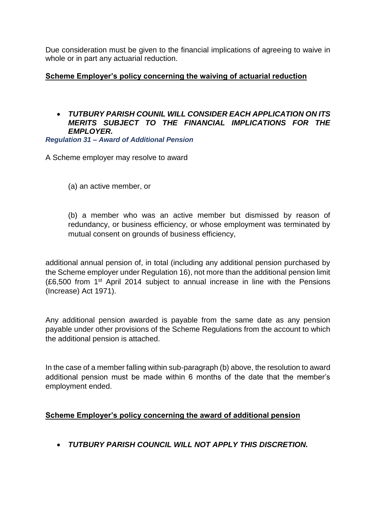Due consideration must be given to the financial implications of agreeing to waive in whole or in part any actuarial reduction.

## **Scheme Employer's policy concerning the waiving of actuarial reduction**

## • *TUTBURY PARISH COUNIL WILL CONSIDER EACH APPLICATION ON ITS MERITS SUBJECT TO THE FINANCIAL IMPLICATIONS FOR THE EMPLOYER.*

*Regulation 31 – Award of Additional Pension* 

A Scheme employer may resolve to award

(a) an active member, or

(b) a member who was an active member but dismissed by reason of redundancy, or business efficiency, or whose employment was terminated by mutual consent on grounds of business efficiency,

additional annual pension of, in total (including any additional pension purchased by the Scheme employer under Regulation 16), not more than the additional pension limit (£6,500 from 1st April 2014 subject to annual increase in line with the Pensions (Increase) Act 1971).

Any additional pension awarded is payable from the same date as any pension payable under other provisions of the Scheme Regulations from the account to which the additional pension is attached.

In the case of a member falling within sub-paragraph (b) above, the resolution to award additional pension must be made within 6 months of the date that the member's employment ended.

## **Scheme Employer's policy concerning the award of additional pension**

• *TUTBURY PARISH COUNCIL WILL NOT APPLY THIS DISCRETION.*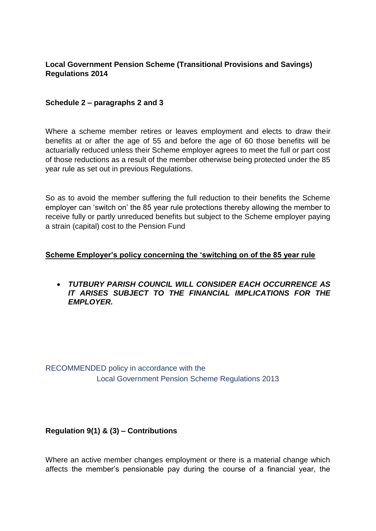## **Local Government Pension Scheme (Transitional Provisions and Savings) Regulations 2014**

#### **Schedule 2 – paragraphs 2 and 3**

Where a scheme member retires or leaves employment and elects to draw their benefits at or after the age of 55 and before the age of 60 those benefits will be actuarially reduced unless their Scheme employer agrees to meet the full or part cost of those reductions as a result of the member otherwise being protected under the 85 year rule as set out in previous Regulations.

So as to avoid the member suffering the full reduction to their benefits the Scheme employer can 'switch on' the 85 year rule protections thereby allowing the member to receive fully or partly unreduced benefits but subject to the Scheme employer paying a strain (capital) cost to the Pension Fund

#### **Scheme Employer's policy concerning the 'switching on of the 85 year rule**

• *TUTBURY PARISH COUNCIL WILL CONSIDER EACH OCCURRENCE AS IT ARISES SUBJECT TO THE FINANCIAL IMPLICATIONS FOR THE EMPLOYER.*

RECOMMENDED policy in accordance with the Local Government Pension Scheme Regulations 2013

## **Regulation 9(1) & (3) – Contributions**

Where an active member changes employment or there is a material change which affects the member's pensionable pay during the course of a financial year, the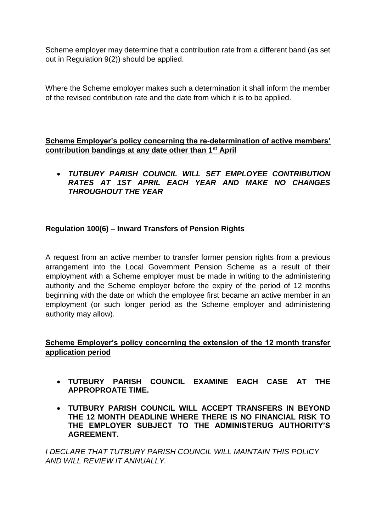Scheme employer may determine that a contribution rate from a different band (as set out in Regulation 9(2)) should be applied.

Where the Scheme employer makes such a determination it shall inform the member of the revised contribution rate and the date from which it is to be applied.

## **Scheme Employer's policy concerning the re-determination of active members' contribution bandings at any date other than 1st April**

• *TUTBURY PARISH COUNCIL WILL SET EMPLOYEE CONTRIBUTION RATES AT 1ST APRIL EACH YEAR AND MAKE NO CHANGES THROUGHOUT THE YEAR*

## **Regulation 100(6) – Inward Transfers of Pension Rights**

A request from an active member to transfer former pension rights from a previous arrangement into the Local Government Pension Scheme as a result of their employment with a Scheme employer must be made in writing to the administering authority and the Scheme employer before the expiry of the period of 12 months beginning with the date on which the employee first became an active member in an employment (or such longer period as the Scheme employer and administering authority may allow).

## **Scheme Employer's policy concerning the extension of the 12 month transfer application period**

- **TUTBURY PARISH COUNCIL EXAMINE EACH CASE AT THE APPROPROATE TIME.**
- **TUTBURY PARISH COUNCIL WILL ACCEPT TRANSFERS IN BEYOND THE 12 MONTH DEADLINE WHERE THERE IS NO FINANCIAL RISK TO THE EMPLOYER SUBJECT TO THE ADMINISTERUG AUTHORITY'S AGREEMENT.**

*I DECLARE THAT TUTBURY PARISH COUNCIL WILL MAINTAIN THIS POLICY AND WILL REVIEW IT ANNUALLY.*